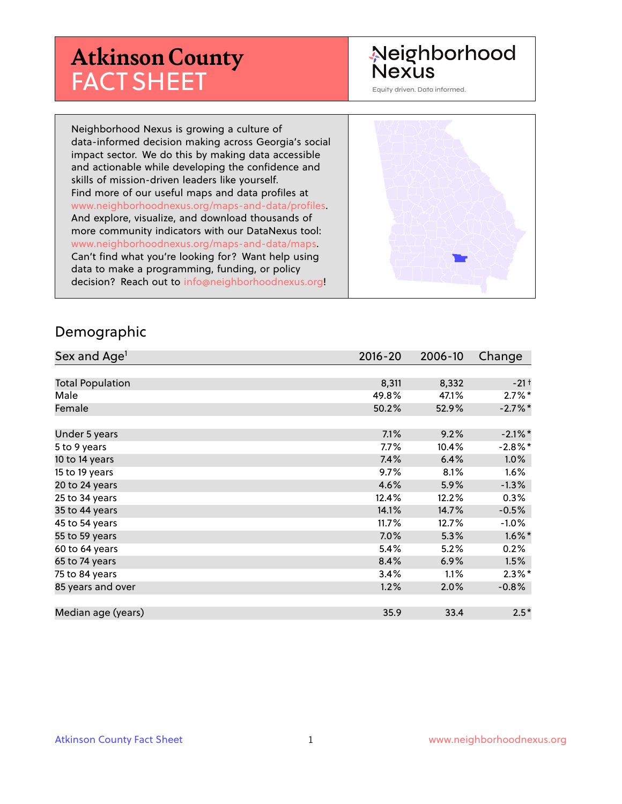# **Atkinson County** FACT SHEET

#### Neighborhood **Nexus**

Equity driven. Data informed.

Neighborhood Nexus is growing a culture of data-informed decision making across Georgia's social impact sector. We do this by making data accessible and actionable while developing the confidence and skills of mission-driven leaders like yourself. Find more of our useful maps and data profiles at www.neighborhoodnexus.org/maps-and-data/profiles. And explore, visualize, and download thousands of more community indicators with our DataNexus tool: www.neighborhoodnexus.org/maps-and-data/maps. Can't find what you're looking for? Want help using data to make a programming, funding, or policy decision? Reach out to [info@neighborhoodnexus.org!](mailto:info@neighborhoodnexus.org)



#### Demographic

| Sex and Age <sup>1</sup> | $2016 - 20$ | 2006-10 | Change             |
|--------------------------|-------------|---------|--------------------|
|                          |             |         |                    |
| <b>Total Population</b>  | 8,311       | 8,332   | $-21$ <sup>+</sup> |
| Male                     | 49.8%       | 47.1%   | $2.7\%$ *          |
| Female                   | 50.2%       | 52.9%   | $-2.7%$ *          |
|                          |             |         |                    |
| Under 5 years            | 7.1%        | 9.2%    | $-2.1\%$ *         |
| 5 to 9 years             | $7.7\%$     | 10.4%   | $-2.8\%$ *         |
| 10 to 14 years           | 7.4%        | 6.4%    | $1.0\%$            |
| 15 to 19 years           | 9.7%        | 8.1%    | 1.6%               |
| 20 to 24 years           | 4.6%        | 5.9%    | $-1.3%$            |
| 25 to 34 years           | 12.4%       | 12.2%   | 0.3%               |
| 35 to 44 years           | 14.1%       | 14.7%   | $-0.5%$            |
| 45 to 54 years           | 11.7%       | 12.7%   | $-1.0\%$           |
| 55 to 59 years           | 7.0%        | 5.3%    | $1.6\%$ *          |
| 60 to 64 years           | 5.4%        | 5.2%    | 0.2%               |
| 65 to 74 years           | 8.4%        | 6.9%    | 1.5%               |
| 75 to 84 years           | 3.4%        | 1.1%    | $2.3\%$ *          |
| 85 years and over        | 1.2%        | 2.0%    | $-0.8%$            |
|                          |             |         |                    |
| Median age (years)       | 35.9        | 33.4    | $2.5*$             |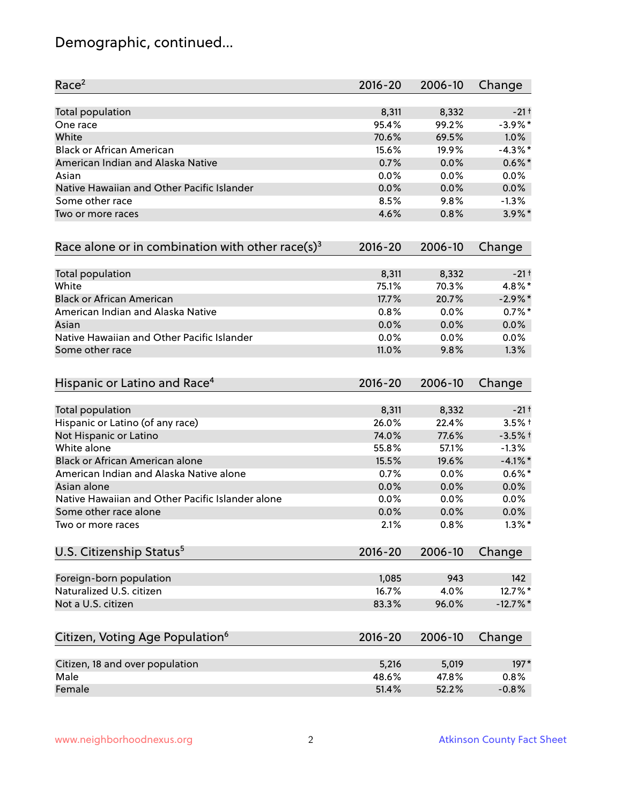# Demographic, continued...

| Race <sup>2</sup>                                   | $2016 - 20$ | 2006-10 | Change             |
|-----------------------------------------------------|-------------|---------|--------------------|
| <b>Total population</b>                             | 8,311       | 8,332   | $-21$ <sup>+</sup> |
| One race                                            | 95.4%       | 99.2%   | $-3.9\%$ *         |
| White                                               | 70.6%       | 69.5%   | 1.0%               |
| <b>Black or African American</b>                    | 15.6%       | 19.9%   | $-4.3\%$ *         |
| American Indian and Alaska Native                   | 0.7%        | 0.0%    | $0.6\%$ *          |
| Asian                                               | 0.0%        | 0.0%    | 0.0%               |
| Native Hawaiian and Other Pacific Islander          | 0.0%        | 0.0%    | 0.0%               |
| Some other race                                     | 8.5%        | 9.8%    | $-1.3%$            |
| Two or more races                                   | 4.6%        | 0.8%    | $3.9\%$ *          |
| Race alone or in combination with other race(s) $3$ | $2016 - 20$ | 2006-10 | Change             |
| Total population                                    | 8,311       | 8,332   | $-21$ <sup>+</sup> |
| White                                               | 75.1%       | 70.3%   | 4.8%*              |
| <b>Black or African American</b>                    | 17.7%       | 20.7%   | $-2.9\%$ *         |
| American Indian and Alaska Native                   | 0.8%        | 0.0%    | $0.7%$ *           |
| Asian                                               | 0.0%        | 0.0%    | 0.0%               |
| Native Hawaiian and Other Pacific Islander          | 0.0%        | 0.0%    | 0.0%               |
| Some other race                                     | 11.0%       | 9.8%    | 1.3%               |
| Hispanic or Latino and Race <sup>4</sup>            | $2016 - 20$ | 2006-10 | Change             |
| <b>Total population</b>                             | 8,311       | 8,332   | $-21$ t            |
| Hispanic or Latino (of any race)                    | 26.0%       | 22.4%   | $3.5%$ +           |
| Not Hispanic or Latino                              | 74.0%       | 77.6%   | $-3.5%$ †          |
| White alone                                         | 55.8%       | 57.1%   | $-1.3%$            |
| Black or African American alone                     | 15.5%       | 19.6%   | $-4.1\%$ *         |
| American Indian and Alaska Native alone             | 0.7%        | $0.0\%$ | $0.6\%$ *          |
| Asian alone                                         | 0.0%        | 0.0%    | 0.0%               |
| Native Hawaiian and Other Pacific Islander alone    | 0.0%        | 0.0%    | $0.0\%$            |
| Some other race alone                               | 0.0%        | 0.0%    | $0.0\%$            |
| Two or more races                                   | 2.1%        | 0.8%    | $1.3\%$ *          |
| U.S. Citizenship Status <sup>5</sup>                | $2016 - 20$ | 2006-10 | Change             |
| Foreign-born population                             | 1,085       | 943     | 142                |
| Naturalized U.S. citizen                            | 16.7%       | 4.0%    | 12.7%*             |
| Not a U.S. citizen                                  | 83.3%       | 96.0%   | $-12.7%$ *         |
| Citizen, Voting Age Population <sup>6</sup>         | $2016 - 20$ | 2006-10 | Change             |
|                                                     |             |         |                    |
| Citizen, 18 and over population                     | 5,216       | 5,019   | 197*               |
| Male                                                | 48.6%       | 47.8%   | 0.8%               |
| Female                                              | 51.4%       | 52.2%   | $-0.8%$            |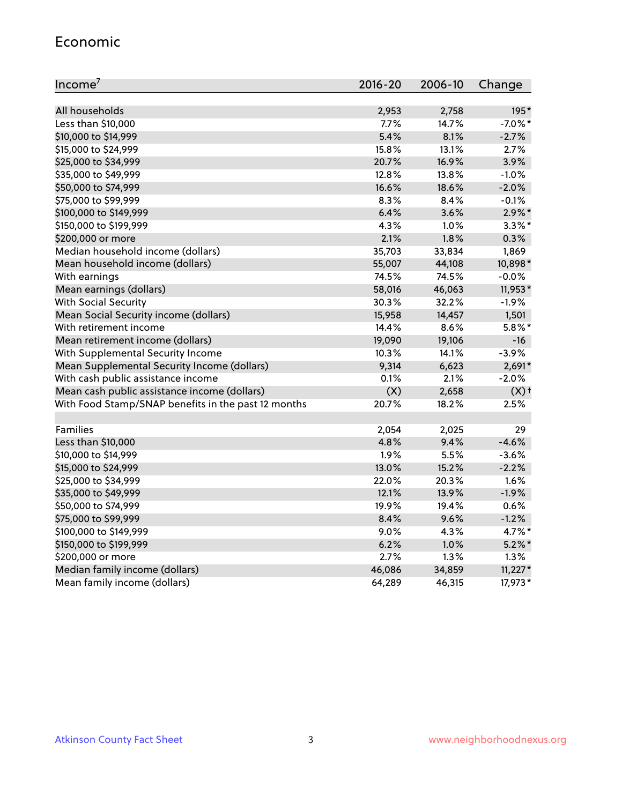#### Economic

| Income <sup>7</sup>                                 | $2016 - 20$ | 2006-10 | Change             |
|-----------------------------------------------------|-------------|---------|--------------------|
|                                                     |             |         |                    |
| All households                                      | 2,953       | 2,758   | 195*               |
| Less than \$10,000                                  | 7.7%        | 14.7%   | $-7.0\%$ *         |
| \$10,000 to \$14,999                                | 5.4%        | 8.1%    | $-2.7%$            |
| \$15,000 to \$24,999                                | 15.8%       | 13.1%   | 2.7%               |
| \$25,000 to \$34,999                                | 20.7%       | 16.9%   | 3.9%               |
| \$35,000 to \$49,999                                | 12.8%       | 13.8%   | $-1.0%$            |
| \$50,000 to \$74,999                                | 16.6%       | 18.6%   | $-2.0%$            |
| \$75,000 to \$99,999                                | 8.3%        | 8.4%    | $-0.1%$            |
| \$100,000 to \$149,999                              | 6.4%        | 3.6%    | $2.9\%$ *          |
| \$150,000 to \$199,999                              | 4.3%        | 1.0%    | $3.3\%$ *          |
| \$200,000 or more                                   | 2.1%        | 1.8%    | 0.3%               |
| Median household income (dollars)                   | 35,703      | 33,834  | 1,869              |
| Mean household income (dollars)                     | 55,007      | 44,108  | 10,898*            |
| With earnings                                       | 74.5%       | 74.5%   | $-0.0%$            |
| Mean earnings (dollars)                             | 58,016      | 46,063  | 11,953*            |
| <b>With Social Security</b>                         | 30.3%       | 32.2%   | $-1.9%$            |
| Mean Social Security income (dollars)               | 15,958      | 14,457  | 1,501              |
| With retirement income                              | 14.4%       | 8.6%    | $5.8\%$ *          |
| Mean retirement income (dollars)                    | 19,090      | 19,106  | -16                |
| With Supplemental Security Income                   | 10.3%       | 14.1%   | $-3.9%$            |
| Mean Supplemental Security Income (dollars)         | 9,314       | 6,623   | $2,691*$           |
| With cash public assistance income                  | 0.1%        | 2.1%    | $-2.0%$            |
| Mean cash public assistance income (dollars)        | (X)         | 2,658   | $(X)$ <sup>+</sup> |
| With Food Stamp/SNAP benefits in the past 12 months | 20.7%       | 18.2%   | 2.5%               |
|                                                     |             |         |                    |
| Families                                            | 2,054       | 2,025   | 29                 |
| Less than \$10,000                                  | 4.8%        | 9.4%    | $-4.6%$            |
| \$10,000 to \$14,999                                | 1.9%        | 5.5%    | $-3.6%$            |
| \$15,000 to \$24,999                                | 13.0%       | 15.2%   | $-2.2%$            |
| \$25,000 to \$34,999                                | 22.0%       | 20.3%   | 1.6%               |
| \$35,000 to \$49,999                                | 12.1%       | 13.9%   | $-1.9%$            |
| \$50,000 to \$74,999                                | 19.9%       | 19.4%   | 0.6%               |
| \$75,000 to \$99,999                                | 8.4%        | 9.6%    | $-1.2%$            |
| \$100,000 to \$149,999                              | 9.0%        | 4.3%    | 4.7%*              |
| \$150,000 to \$199,999                              | 6.2%        | 1.0%    | $5.2\%$ *          |
| \$200,000 or more                                   | 2.7%        | 1.3%    | 1.3%               |
| Median family income (dollars)                      | 46,086      | 34,859  | $11,227*$          |
| Mean family income (dollars)                        | 64,289      | 46,315  | 17,973*            |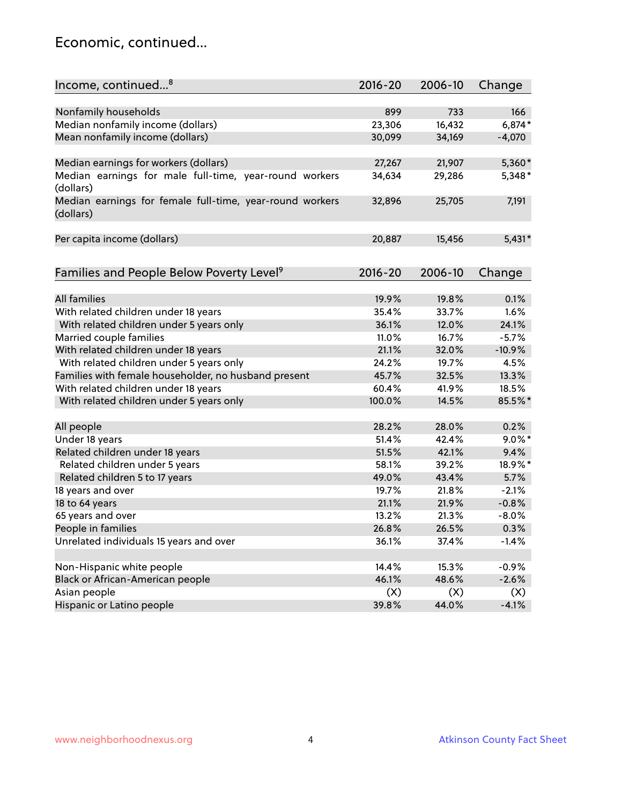#### Economic, continued...

| Income, continued <sup>8</sup>                                        | $2016 - 20$ | 2006-10 | Change    |
|-----------------------------------------------------------------------|-------------|---------|-----------|
|                                                                       |             |         |           |
| Nonfamily households                                                  | 899         | 733     | 166       |
| Median nonfamily income (dollars)                                     | 23,306      | 16,432  | $6,874*$  |
| Mean nonfamily income (dollars)                                       | 30,099      | 34,169  | $-4,070$  |
| Median earnings for workers (dollars)                                 | 27,267      | 21,907  | 5,360*    |
| Median earnings for male full-time, year-round workers                | 34,634      | 29,286  | 5,348*    |
| (dollars)                                                             |             |         |           |
| Median earnings for female full-time, year-round workers<br>(dollars) | 32,896      | 25,705  | 7,191     |
| Per capita income (dollars)                                           | 20,887      | 15,456  | $5,431*$  |
|                                                                       |             |         |           |
| Families and People Below Poverty Level <sup>9</sup>                  | $2016 - 20$ | 2006-10 | Change    |
|                                                                       |             |         |           |
| <b>All families</b>                                                   | 19.9%       | 19.8%   | 0.1%      |
| With related children under 18 years                                  | 35.4%       | 33.7%   | 1.6%      |
| With related children under 5 years only                              | 36.1%       | 12.0%   | 24.1%     |
| Married couple families                                               | 11.0%       | 16.7%   | $-5.7%$   |
| With related children under 18 years                                  | 21.1%       | 32.0%   | $-10.9%$  |
| With related children under 5 years only                              | 24.2%       | 19.7%   | 4.5%      |
| Families with female householder, no husband present                  | 45.7%       | 32.5%   | 13.3%     |
| With related children under 18 years                                  | 60.4%       | 41.9%   | 18.5%     |
| With related children under 5 years only                              | 100.0%      | 14.5%   | 85.5%*    |
|                                                                       |             |         |           |
| All people                                                            | 28.2%       | 28.0%   | 0.2%      |
| Under 18 years                                                        | 51.4%       | 42.4%   | $9.0\%$ * |
| Related children under 18 years                                       | 51.5%       | 42.1%   | 9.4%      |
| Related children under 5 years                                        | 58.1%       | 39.2%   | 18.9%*    |
| Related children 5 to 17 years                                        | 49.0%       | 43.4%   | 5.7%      |
| 18 years and over                                                     | 19.7%       | 21.8%   | $-2.1%$   |
| 18 to 64 years                                                        | 21.1%       | 21.9%   | $-0.8%$   |
| 65 years and over                                                     | 13.2%       | 21.3%   | $-8.0%$   |
| People in families                                                    | 26.8%       | 26.5%   | 0.3%      |
| Unrelated individuals 15 years and over                               | 36.1%       | 37.4%   | $-1.4%$   |
|                                                                       |             |         |           |
| Non-Hispanic white people                                             | 14.4%       | 15.3%   | $-0.9%$   |
| Black or African-American people                                      | 46.1%       | 48.6%   | $-2.6%$   |
| Asian people                                                          | (X)         | (X)     | (X)       |
| Hispanic or Latino people                                             | 39.8%       | 44.0%   | $-4.1%$   |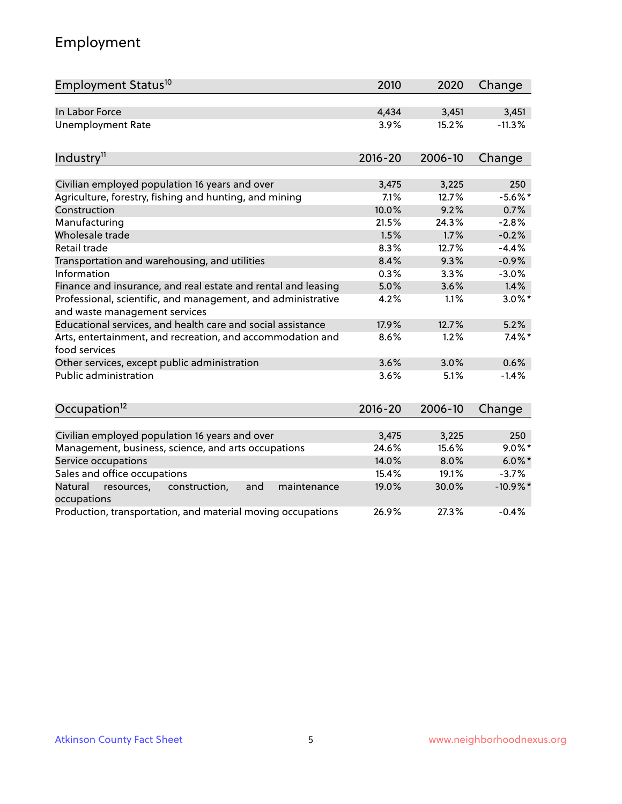# Employment

| Employment Status <sup>10</sup>                                                               | 2010        | 2020    | Change      |
|-----------------------------------------------------------------------------------------------|-------------|---------|-------------|
| In Labor Force                                                                                | 4,434       | 3,451   | 3,451       |
| <b>Unemployment Rate</b>                                                                      | 3.9%        | 15.2%   | $-11.3%$    |
|                                                                                               |             |         |             |
| Industry <sup>11</sup>                                                                        | $2016 - 20$ | 2006-10 | Change      |
| Civilian employed population 16 years and over                                                | 3,475       | 3,225   | 250         |
| Agriculture, forestry, fishing and hunting, and mining                                        | 7.1%        | 12.7%   | $-5.6\%$ *  |
| Construction                                                                                  | 10.0%       | 9.2%    | 0.7%        |
| Manufacturing                                                                                 | 21.5%       | 24.3%   | $-2.8%$     |
| Wholesale trade                                                                               | 1.5%        | 1.7%    | $-0.2%$     |
| Retail trade                                                                                  | 8.3%        | 12.7%   | $-4.4%$     |
| Transportation and warehousing, and utilities                                                 | 8.4%        | 9.3%    | $-0.9%$     |
| Information                                                                                   | 0.3%        | 3.3%    | $-3.0%$     |
| Finance and insurance, and real estate and rental and leasing                                 | 5.0%        | 3.6%    | 1.4%        |
| Professional, scientific, and management, and administrative<br>and waste management services | 4.2%        | 1.1%    | $3.0\%$ *   |
| Educational services, and health care and social assistance                                   | 17.9%       | 12.7%   | 5.2%        |
| Arts, entertainment, and recreation, and accommodation and<br>food services                   | 8.6%        | 1.2%    | $7.4\%$ *   |
| Other services, except public administration                                                  | 3.6%        | 3.0%    | 0.6%        |
| <b>Public administration</b>                                                                  | 3.6%        | 5.1%    | $-1.4%$     |
| Occupation <sup>12</sup>                                                                      | $2016 - 20$ | 2006-10 | Change      |
|                                                                                               |             |         |             |
| Civilian employed population 16 years and over                                                | 3,475       | 3,225   | 250         |
| Management, business, science, and arts occupations                                           | 24.6%       | 15.6%   | $9.0\%$ *   |
| Service occupations                                                                           | 14.0%       | 8.0%    | $6.0\%$ *   |
| Sales and office occupations                                                                  | 15.4%       | 19.1%   | $-3.7%$     |
| Natural<br>maintenance<br>resources,<br>construction,<br>and<br>occupations                   | 19.0%       | 30.0%   | $-10.9\%$ * |
| Production, transportation, and material moving occupations                                   | 26.9%       | 27.3%   | $-0.4%$     |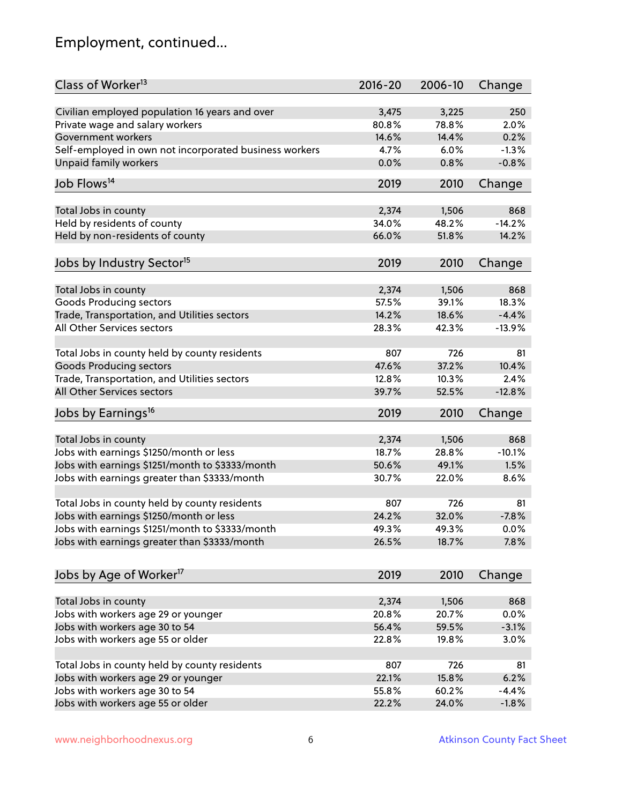# Employment, continued...

| Class of Worker <sup>13</sup>                          | $2016 - 20$ | 2006-10 | Change   |
|--------------------------------------------------------|-------------|---------|----------|
| Civilian employed population 16 years and over         | 3,475       | 3,225   | 250      |
| Private wage and salary workers                        | 80.8%       | 78.8%   | 2.0%     |
| Government workers                                     | 14.6%       | 14.4%   | 0.2%     |
| Self-employed in own not incorporated business workers | 4.7%        | 6.0%    | $-1.3%$  |
| <b>Unpaid family workers</b>                           | 0.0%        | 0.8%    | $-0.8%$  |
|                                                        |             |         |          |
| Job Flows <sup>14</sup>                                | 2019        | 2010    | Change   |
| Total Jobs in county                                   | 2,374       | 1,506   | 868      |
| Held by residents of county                            | 34.0%       | 48.2%   | $-14.2%$ |
| Held by non-residents of county                        | 66.0%       | 51.8%   | 14.2%    |
|                                                        |             |         |          |
| Jobs by Industry Sector <sup>15</sup>                  | 2019        | 2010    | Change   |
|                                                        |             |         | 868      |
| Total Jobs in county                                   | 2,374       | 1,506   |          |
| Goods Producing sectors                                | 57.5%       | 39.1%   | 18.3%    |
| Trade, Transportation, and Utilities sectors           | 14.2%       | 18.6%   | $-4.4%$  |
| All Other Services sectors                             | 28.3%       | 42.3%   | $-13.9%$ |
| Total Jobs in county held by county residents          | 807         | 726     | 81       |
| <b>Goods Producing sectors</b>                         | 47.6%       | 37.2%   | 10.4%    |
| Trade, Transportation, and Utilities sectors           | 12.8%       | 10.3%   | 2.4%     |
| All Other Services sectors                             | 39.7%       | 52.5%   | $-12.8%$ |
| Jobs by Earnings <sup>16</sup>                         | 2019        | 2010    | Change   |
|                                                        |             |         |          |
| Total Jobs in county                                   | 2,374       | 1,506   | 868      |
| Jobs with earnings \$1250/month or less                | 18.7%       | 28.8%   | $-10.1%$ |
| Jobs with earnings \$1251/month to \$3333/month        | 50.6%       | 49.1%   | 1.5%     |
| Jobs with earnings greater than \$3333/month           | 30.7%       | 22.0%   | 8.6%     |
|                                                        |             |         |          |
| Total Jobs in county held by county residents          | 807         | 726     | 81       |
| Jobs with earnings \$1250/month or less                | 24.2%       | 32.0%   | $-7.8%$  |
| Jobs with earnings \$1251/month to \$3333/month        | 49.3%       | 49.3%   | $0.0\%$  |
| Jobs with earnings greater than \$3333/month           | 26.5%       | 18.7%   | 7.8%     |
|                                                        |             |         |          |
| Jobs by Age of Worker <sup>17</sup>                    | 2019        | 2010    | Change   |
| Total Jobs in county                                   | 2,374       | 1,506   | 868      |
| Jobs with workers age 29 or younger                    | 20.8%       | 20.7%   | 0.0%     |
| Jobs with workers age 30 to 54                         | 56.4%       | 59.5%   | $-3.1%$  |
| Jobs with workers age 55 or older                      | 22.8%       | 19.8%   | 3.0%     |
|                                                        |             |         |          |
| Total Jobs in county held by county residents          | 807         | 726     | 81       |
| Jobs with workers age 29 or younger                    | 22.1%       | 15.8%   | 6.2%     |
| Jobs with workers age 30 to 54                         | 55.8%       | 60.2%   | $-4.4%$  |
| Jobs with workers age 55 or older                      | 22.2%       | 24.0%   | $-1.8%$  |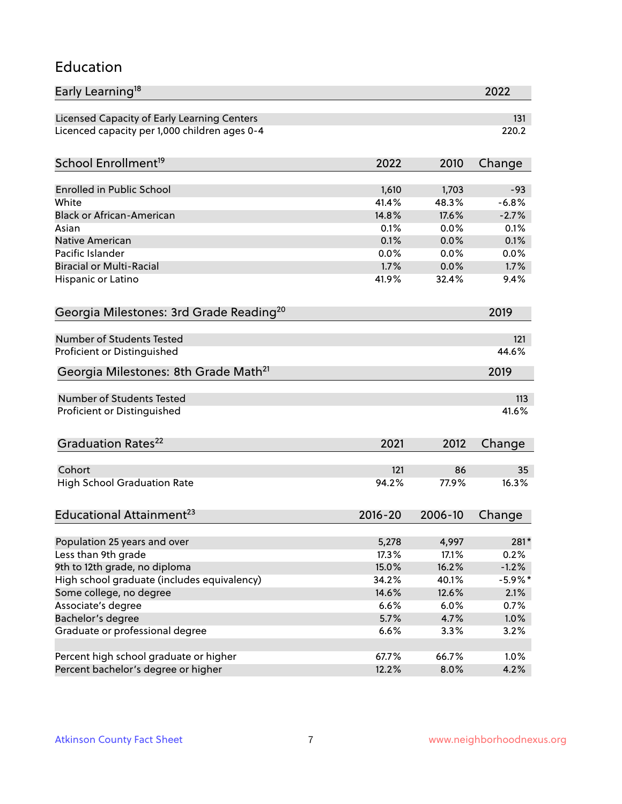#### Education

| Early Learning <sup>18</sup>                        |             |         | 2022       |
|-----------------------------------------------------|-------------|---------|------------|
| Licensed Capacity of Early Learning Centers         |             |         | 131        |
| Licenced capacity per 1,000 children ages 0-4       |             |         | 220.2      |
| School Enrollment <sup>19</sup>                     | 2022        | 2010    | Change     |
|                                                     |             |         |            |
| <b>Enrolled in Public School</b>                    | 1,610       | 1,703   | $-93$      |
| White                                               | 41.4%       | 48.3%   | $-6.8%$    |
| <b>Black or African-American</b>                    | 14.8%       | 17.6%   | $-2.7%$    |
| Asian                                               | 0.1%        | 0.0%    | 0.1%       |
| <b>Native American</b>                              | 0.1%        | 0.0%    | 0.1%       |
| Pacific Islander                                    | 0.0%        | 0.0%    | 0.0%       |
| <b>Biracial or Multi-Racial</b>                     | 1.7%        | 0.0%    | 1.7%       |
| Hispanic or Latino                                  | 41.9%       | 32.4%   | 9.4%       |
| Georgia Milestones: 3rd Grade Reading <sup>20</sup> |             |         | 2019       |
| <b>Number of Students Tested</b>                    |             |         | 121        |
|                                                     |             |         | 44.6%      |
| Proficient or Distinguished                         |             |         |            |
| Georgia Milestones: 8th Grade Math <sup>21</sup>    |             |         | 2019       |
| Number of Students Tested                           |             |         | 113        |
| Proficient or Distinguished                         |             |         | 41.6%      |
| Graduation Rates <sup>22</sup>                      | 2021        | 2012    | Change     |
|                                                     |             |         |            |
| Cohort                                              | 121         | 86      | 35         |
| <b>High School Graduation Rate</b>                  | 94.2%       | 77.9%   | 16.3%      |
| Educational Attainment <sup>23</sup>                | $2016 - 20$ | 2006-10 | Change     |
| Population 25 years and over                        | 5,278       | 4,997   | 281*       |
| Less than 9th grade                                 | 17.3%       | 17.1%   | 0.2%       |
| 9th to 12th grade, no diploma                       | 15.0%       | 16.2%   | $-1.2%$    |
| High school graduate (includes equivalency)         | 34.2%       | 40.1%   | $-5.9\%$ * |
| Some college, no degree                             | 14.6%       | 12.6%   | 2.1%       |
| Associate's degree                                  | 6.6%        | 6.0%    | 0.7%       |
|                                                     |             |         |            |
| Bachelor's degree                                   | 5.7%        | 4.7%    | 1.0%       |
| Graduate or professional degree                     | 6.6%        | 3.3%    | 3.2%       |
| Percent high school graduate or higher              | 67.7%       | 66.7%   | 1.0%       |
| Percent bachelor's degree or higher                 | 12.2%       | 8.0%    | 4.2%       |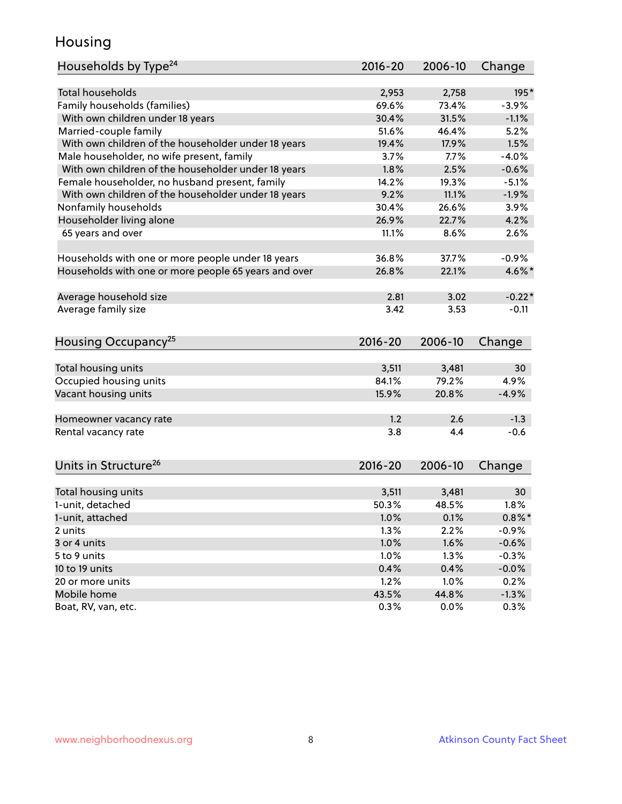#### Housing

| Households by Type <sup>24</sup>                     | 2016-20     | 2006-10 | Change    |
|------------------------------------------------------|-------------|---------|-----------|
|                                                      |             |         |           |
| <b>Total households</b>                              | 2,953       | 2,758   | 195*      |
| Family households (families)                         | 69.6%       | 73.4%   | $-3.9%$   |
| With own children under 18 years                     | 30.4%       | 31.5%   | $-1.1%$   |
| Married-couple family                                | 51.6%       | 46.4%   | 5.2%      |
| With own children of the householder under 18 years  | 19.4%       | 17.9%   | 1.5%      |
| Male householder, no wife present, family            | 3.7%        | 7.7%    | $-4.0%$   |
| With own children of the householder under 18 years  | 1.8%        | 2.5%    | $-0.6%$   |
| Female householder, no husband present, family       | 14.2%       | 19.3%   | $-5.1%$   |
| With own children of the householder under 18 years  | 9.2%        | 11.1%   | $-1.9%$   |
| Nonfamily households                                 | 30.4%       | 26.6%   | 3.9%      |
| Householder living alone                             | 26.9%       | 22.7%   | 4.2%      |
| 65 years and over                                    | 11.1%       | 8.6%    | 2.6%      |
|                                                      |             |         |           |
| Households with one or more people under 18 years    | 36.8%       | 37.7%   | $-0.9%$   |
| Households with one or more people 65 years and over | 26.8%       | 22.1%   | 4.6%*     |
|                                                      |             |         |           |
| Average household size                               | 2.81        | 3.02    | $-0.22*$  |
| Average family size                                  | 3.42        | 3.53    | $-0.11$   |
| Housing Occupancy <sup>25</sup>                      | $2016 - 20$ | 2006-10 | Change    |
|                                                      |             |         |           |
| Total housing units                                  | 3,511       | 3,481   | 30        |
| Occupied housing units                               | 84.1%       | 79.2%   | 4.9%      |
| Vacant housing units                                 | 15.9%       | 20.8%   | $-4.9%$   |
|                                                      |             |         |           |
| Homeowner vacancy rate                               | 1.2         | 2.6     | $-1.3$    |
| Rental vacancy rate                                  | 3.8         | 4.4     | $-0.6$    |
| Units in Structure <sup>26</sup>                     | 2016-20     | 2006-10 | Change    |
|                                                      |             |         |           |
| Total housing units                                  | 3,511       | 3,481   | 30        |
| 1-unit, detached                                     | 50.3%       | 48.5%   | 1.8%      |
| 1-unit, attached                                     | 1.0%        | 0.1%    | $0.8\%$ * |
| 2 units                                              | 1.3%        | 2.2%    | $-0.9%$   |
| 3 or 4 units                                         | 1.0%        | 1.6%    | $-0.6%$   |
| 5 to 9 units                                         | 1.0%        | 1.3%    | $-0.3%$   |
| 10 to 19 units                                       | 0.4%        | 0.4%    | $-0.0%$   |
| 20 or more units                                     | 1.2%        | 1.0%    | 0.2%      |
| Mobile home                                          | 43.5%       | 44.8%   | $-1.3%$   |
| Boat, RV, van, etc.                                  | 0.3%        | $0.0\%$ | 0.3%      |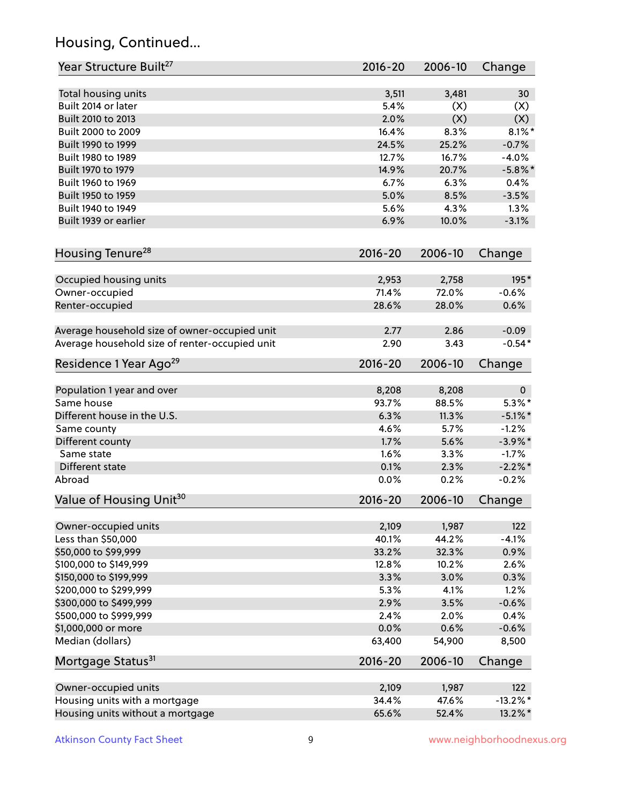# Housing, Continued...

| Year Structure Built <sup>27</sup>             | 2016-20     | 2006-10 | Change       |
|------------------------------------------------|-------------|---------|--------------|
| Total housing units                            | 3,511       | 3,481   | 30           |
| Built 2014 or later                            | 5.4%        | (X)     | (X)          |
| Built 2010 to 2013                             | 2.0%        | (X)     | (X)          |
| Built 2000 to 2009                             | 16.4%       | 8.3%    | $8.1\%$ *    |
| Built 1990 to 1999                             | 24.5%       | 25.2%   | $-0.7%$      |
| Built 1980 to 1989                             | 12.7%       | 16.7%   | $-4.0%$      |
| Built 1970 to 1979                             | 14.9%       | 20.7%   | $-5.8\%$ *   |
| Built 1960 to 1969                             | 6.7%        | 6.3%    | 0.4%         |
| Built 1950 to 1959                             | 5.0%        | 8.5%    | $-3.5%$      |
| Built 1940 to 1949                             | 5.6%        | 4.3%    | 1.3%         |
| Built 1939 or earlier                          | 6.9%        | 10.0%   | $-3.1%$      |
| Housing Tenure <sup>28</sup>                   | $2016 - 20$ | 2006-10 | Change       |
|                                                |             |         |              |
| Occupied housing units                         | 2,953       | 2,758   | 195*         |
| Owner-occupied                                 | 71.4%       | 72.0%   | $-0.6%$      |
| Renter-occupied                                | 28.6%       | 28.0%   | 0.6%         |
| Average household size of owner-occupied unit  | 2.77        | 2.86    | $-0.09$      |
| Average household size of renter-occupied unit | 2.90        | 3.43    | $-0.54*$     |
| Residence 1 Year Ago <sup>29</sup>             | $2016 - 20$ | 2006-10 | Change       |
| Population 1 year and over                     | 8,208       | 8,208   | $\mathbf{0}$ |
| Same house                                     | 93.7%       | 88.5%   | $5.3\%$ *    |
| Different house in the U.S.                    | 6.3%        | 11.3%   | $-5.1\%$ *   |
| Same county                                    | 4.6%        | 5.7%    | $-1.2%$      |
| Different county                               | 1.7%        | 5.6%    | $-3.9\%$ *   |
| Same state                                     | 1.6%        | 3.3%    | $-1.7%$      |
| Different state                                | 0.1%        | 2.3%    | $-2.2\%$ *   |
| Abroad                                         | 0.0%        | 0.2%    | $-0.2%$      |
| Value of Housing Unit <sup>30</sup>            | 2016-20     | 2006-10 | Change       |
|                                                |             |         |              |
| Owner-occupied units                           | 2,109       | 1,987   | 122          |
| Less than \$50,000                             | 40.1%       | 44.2%   | $-4.1%$      |
| \$50,000 to \$99,999                           | 33.2%       | 32.3%   | 0.9%         |
| \$100,000 to \$149,999                         | 12.8%       | 10.2%   | 2.6%         |
| \$150,000 to \$199,999                         | 3.3%        | 3.0%    | 0.3%         |
| \$200,000 to \$299,999                         | 5.3%        | 4.1%    | 1.2%         |
| \$300,000 to \$499,999                         | 2.9%        | 3.5%    | $-0.6%$      |
| \$500,000 to \$999,999                         | 2.4%        | 2.0%    | 0.4%         |
| \$1,000,000 or more                            | 0.0%        | 0.6%    | $-0.6%$      |
| Median (dollars)                               | 63,400      | 54,900  | 8,500        |
| Mortgage Status <sup>31</sup>                  | $2016 - 20$ | 2006-10 | Change       |
| Owner-occupied units                           | 2,109       | 1,987   | 122          |
| Housing units with a mortgage                  | 34.4%       | 47.6%   | $-13.2\%$ *  |
| Housing units without a mortgage               | 65.6%       | 52.4%   | 13.2%*       |
|                                                |             |         |              |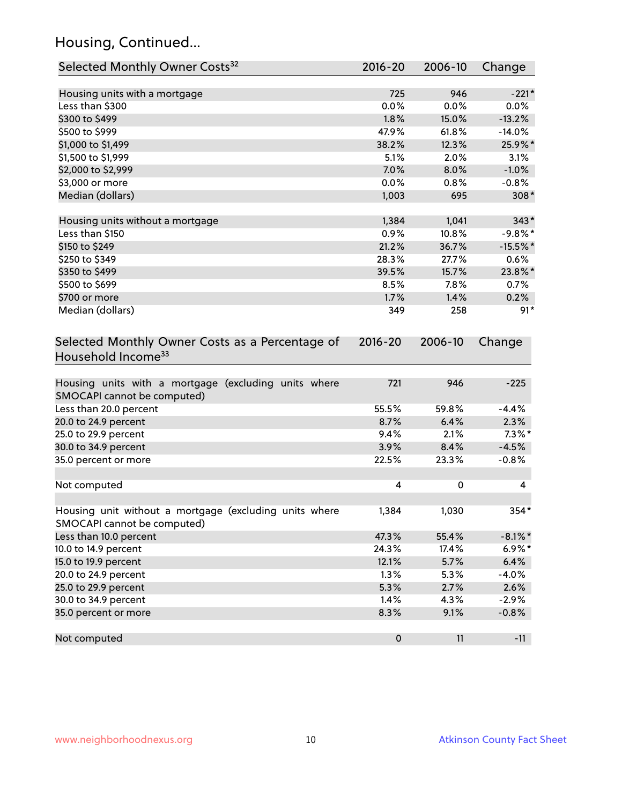# Housing, Continued...

| Selected Monthly Owner Costs <sup>32</sup>                                            | 2016-20     | 2006-10 | Change     |
|---------------------------------------------------------------------------------------|-------------|---------|------------|
| Housing units with a mortgage                                                         | 725         | 946     | $-221*$    |
| Less than \$300                                                                       | 0.0%        | 0.0%    | 0.0%       |
| \$300 to \$499                                                                        | 1.8%        | 15.0%   | $-13.2%$   |
| \$500 to \$999                                                                        | 47.9%       | 61.8%   | $-14.0%$   |
| \$1,000 to \$1,499                                                                    | 38.2%       | 12.3%   | 25.9%*     |
| \$1,500 to \$1,999                                                                    | 5.1%        | 2.0%    | 3.1%       |
| \$2,000 to \$2,999                                                                    | 7.0%        | 8.0%    | $-1.0%$    |
| \$3,000 or more                                                                       | 0.0%        | 0.8%    | $-0.8%$    |
| Median (dollars)                                                                      | 1,003       | 695     | 308*       |
| Housing units without a mortgage                                                      | 1,384       | 1,041   | $343*$     |
| Less than \$150                                                                       | 0.9%        | 10.8%   | $-9.8%$ *  |
| \$150 to \$249                                                                        | 21.2%       | 36.7%   | $-15.5%$ * |
| \$250 to \$349                                                                        | 28.3%       | 27.7%   | 0.6%       |
| \$350 to \$499                                                                        | 39.5%       | 15.7%   | 23.8%*     |
| \$500 to \$699                                                                        | 8.5%        | 7.8%    | 0.7%       |
| \$700 or more                                                                         | 1.7%        | 1.4%    | 0.2%       |
| Median (dollars)                                                                      | 349         | 258     | $91*$      |
| Selected Monthly Owner Costs as a Percentage of<br>Household Income <sup>33</sup>     | $2016 - 20$ | 2006-10 | Change     |
| Housing units with a mortgage (excluding units where<br>SMOCAPI cannot be computed)   | 721         | 946     | $-225$     |
| Less than 20.0 percent                                                                | 55.5%       | 59.8%   | $-4.4%$    |
| 20.0 to 24.9 percent                                                                  | 8.7%        | 6.4%    | 2.3%       |
| 25.0 to 29.9 percent                                                                  | 9.4%        | 2.1%    | $7.3\%$ *  |
| 30.0 to 34.9 percent                                                                  | 3.9%        | 8.4%    | $-4.5%$    |
| 35.0 percent or more                                                                  | 22.5%       | 23.3%   | $-0.8%$    |
| Not computed                                                                          | 4           | 0       | 4          |
| Housing unit without a mortgage (excluding units where<br>SMOCAPI cannot be computed) | 1,384       | 1,030   | 354*       |
| Less than 10.0 percent                                                                | 47.3%       | 55.4%   | $-8.1\%$ * |
| 10.0 to 14.9 percent                                                                  | 24.3%       | 17.4%   | $6.9\%*$   |
| 15.0 to 19.9 percent                                                                  | 12.1%       | 5.7%    | 6.4%       |
| 20.0 to 24.9 percent                                                                  | 1.3%        | 5.3%    | $-4.0%$    |
| 25.0 to 29.9 percent                                                                  | 5.3%        | 2.7%    | 2.6%       |
| 30.0 to 34.9 percent                                                                  | 1.4%        | 4.3%    | $-2.9%$    |
| 35.0 percent or more                                                                  | 8.3%        | 9.1%    | $-0.8%$    |
| Not computed                                                                          | $\pmb{0}$   | 11      | $-11$      |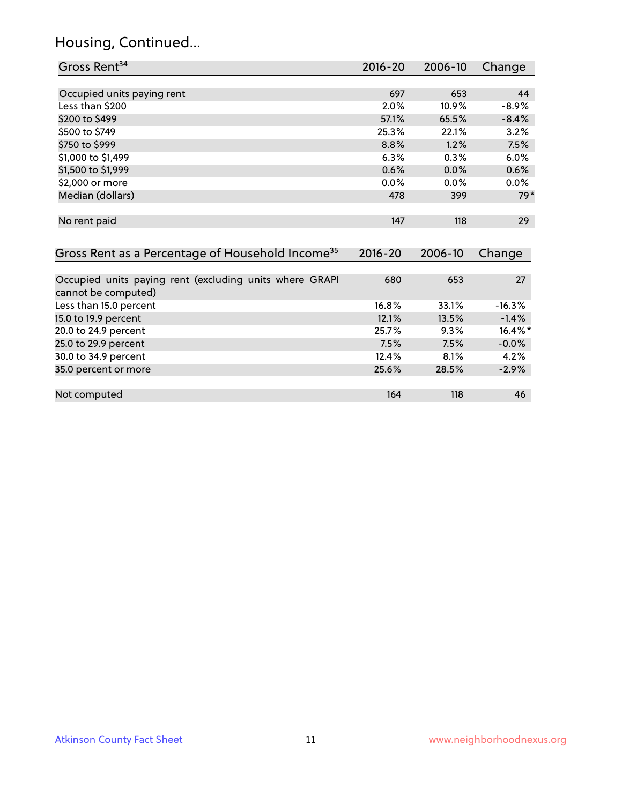# Housing, Continued...

| Gross Rent <sup>34</sup>                                                       | $2016 - 20$ | 2006-10 | Change   |
|--------------------------------------------------------------------------------|-------------|---------|----------|
|                                                                                |             |         |          |
| Occupied units paying rent                                                     | 697         | 653     | 44       |
| Less than \$200                                                                | 2.0%        | 10.9%   | $-8.9%$  |
| \$200 to \$499                                                                 | 57.1%       | 65.5%   | $-8.4%$  |
| \$500 to \$749                                                                 | 25.3%       | 22.1%   | 3.2%     |
| \$750 to \$999                                                                 | 8.8%        | 1.2%    | 7.5%     |
| \$1,000 to \$1,499                                                             | 6.3%        | 0.3%    | 6.0%     |
| \$1,500 to \$1,999                                                             | 0.6%        | 0.0%    | 0.6%     |
| \$2,000 or more                                                                | 0.0%        | 0.0%    | 0.0%     |
| Median (dollars)                                                               | 478         | 399     | $79*$    |
|                                                                                |             |         |          |
| No rent paid                                                                   | 147         | 118     | 29       |
|                                                                                |             |         |          |
| Gross Rent as a Percentage of Household Income <sup>35</sup>                   | $2016 - 20$ | 2006-10 | Change   |
|                                                                                |             |         |          |
| Occupied units paying rent (excluding units where GRAPI<br>cannot be computed) | 680         | 653     | 27       |
| Less than 15.0 percent                                                         | 16.8%       | 33.1%   | $-16.3%$ |
| 15.0 to 19.9 percent                                                           | 12.1%       | 13.5%   | $-1.4%$  |
| 20.0 to 24.9 percent                                                           | 25.7%       | 9.3%    | 16.4%*   |
| 25.0 to 29.9 percent                                                           | 7.5%        | 7.5%    | $-0.0%$  |
| 30.0 to 34.9 percent                                                           | 12.4%       | 8.1%    | 4.2%     |
| 35.0 percent or more                                                           | 25.6%       | 28.5%   | $-2.9%$  |
|                                                                                |             |         |          |

Not computed and the computed of the computed of the computed of the computed of the computed of the computed of the computed of the computed of the computed of the computed of the computed of the computed of the computed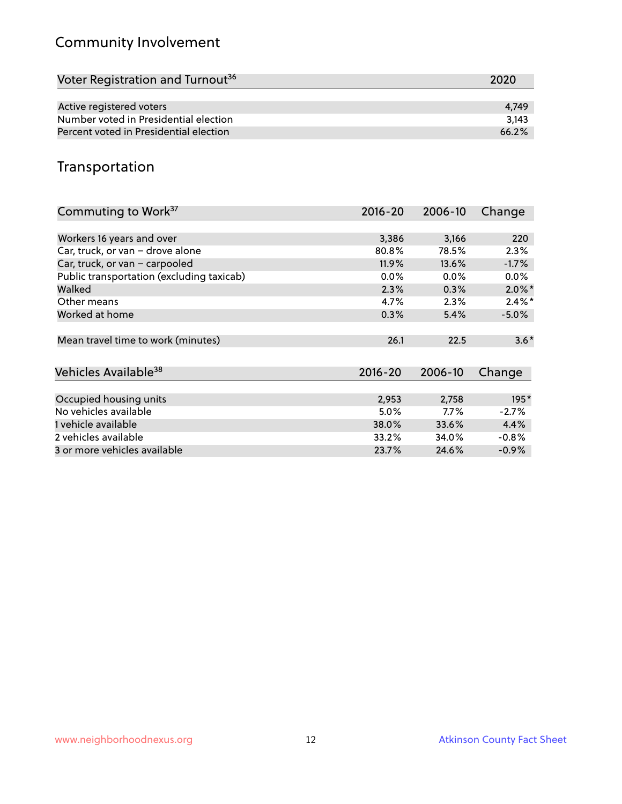# Community Involvement

| 2020  |
|-------|
|       |
| 4.749 |
| 3.143 |
| 66.2% |
|       |

#### Transportation

| Commuting to Work <sup>37</sup>           | 2016-20     | 2006-10 | Change    |
|-------------------------------------------|-------------|---------|-----------|
|                                           |             |         |           |
| Workers 16 years and over                 | 3,386       | 3,166   | 220       |
| Car, truck, or van - drove alone          | 80.8%       | 78.5%   | 2.3%      |
| Car, truck, or van - carpooled            | 11.9%       | 13.6%   | $-1.7%$   |
| Public transportation (excluding taxicab) | $0.0\%$     | $0.0\%$ | $0.0\%$   |
| Walked                                    | 2.3%        | 0.3%    | $2.0\%$ * |
| Other means                               | 4.7%        | 2.3%    | $2.4\%$ * |
| Worked at home                            | 0.3%        | 5.4%    | $-5.0\%$  |
| Mean travel time to work (minutes)        | 26.1        | 22.5    | $3.6*$    |
| Vehicles Available <sup>38</sup>          | $2016 - 20$ | 2006-10 | Change    |
|                                           |             |         |           |
| Occupied housing units                    | 2,953       | 2,758   | $195*$    |
| No vehicles available                     | 5.0%        | $7.7\%$ | $-2.7%$   |
| 1 vehicle available                       | 38.0%       | 33.6%   | 4.4%      |
| 2 vehicles available                      | 33.2%       | 34.0%   | $-0.8%$   |
| 3 or more vehicles available              | 23.7%       | 24.6%   | $-0.9%$   |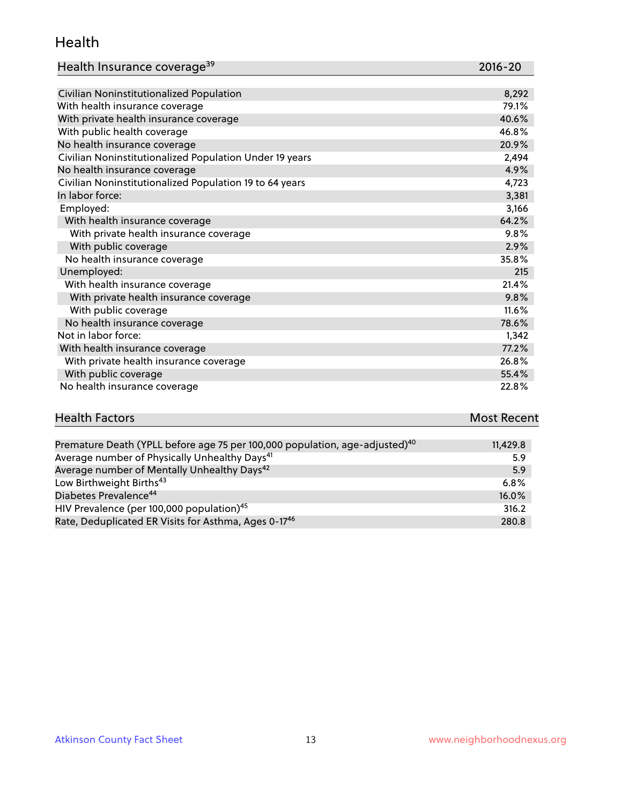#### Health

| Health Insurance coverage <sup>39</sup> | 2016-20 |
|-----------------------------------------|---------|
|-----------------------------------------|---------|

| Civilian Noninstitutionalized Population                | 8,292 |
|---------------------------------------------------------|-------|
| With health insurance coverage                          | 79.1% |
| With private health insurance coverage                  | 40.6% |
| With public health coverage                             | 46.8% |
| No health insurance coverage                            | 20.9% |
| Civilian Noninstitutionalized Population Under 19 years | 2,494 |
| No health insurance coverage                            | 4.9%  |
| Civilian Noninstitutionalized Population 19 to 64 years | 4,723 |
| In labor force:                                         | 3,381 |
| Employed:                                               | 3,166 |
| With health insurance coverage                          | 64.2% |
| With private health insurance coverage                  | 9.8%  |
| With public coverage                                    | 2.9%  |
| No health insurance coverage                            | 35.8% |
| Unemployed:                                             | 215   |
| With health insurance coverage                          | 21.4% |
| With private health insurance coverage                  | 9.8%  |
| With public coverage                                    | 11.6% |
| No health insurance coverage                            | 78.6% |
| Not in labor force:                                     | 1,342 |
| With health insurance coverage                          | 77.2% |
| With private health insurance coverage                  | 26.8% |
| With public coverage                                    | 55.4% |
| No health insurance coverage                            | 22.8% |

# **Health Factors Most Recent** And The Control of the Control of The Control of The Control of The Control of The Control of The Control of The Control of The Control of The Control of The Control of The Control of The Contr

| Premature Death (YPLL before age 75 per 100,000 population, age-adjusted) <sup>40</sup> | 11,429.8 |
|-----------------------------------------------------------------------------------------|----------|
| Average number of Physically Unhealthy Days <sup>41</sup>                               | 5.9      |
| Average number of Mentally Unhealthy Days <sup>42</sup>                                 | 5.9      |
| Low Birthweight Births <sup>43</sup>                                                    | $6.8\%$  |
| Diabetes Prevalence <sup>44</sup>                                                       | $16.0\%$ |
| HIV Prevalence (per 100,000 population) <sup>45</sup>                                   | 316.2    |
| Rate, Deduplicated ER Visits for Asthma, Ages 0-17 <sup>46</sup>                        | 280.8    |